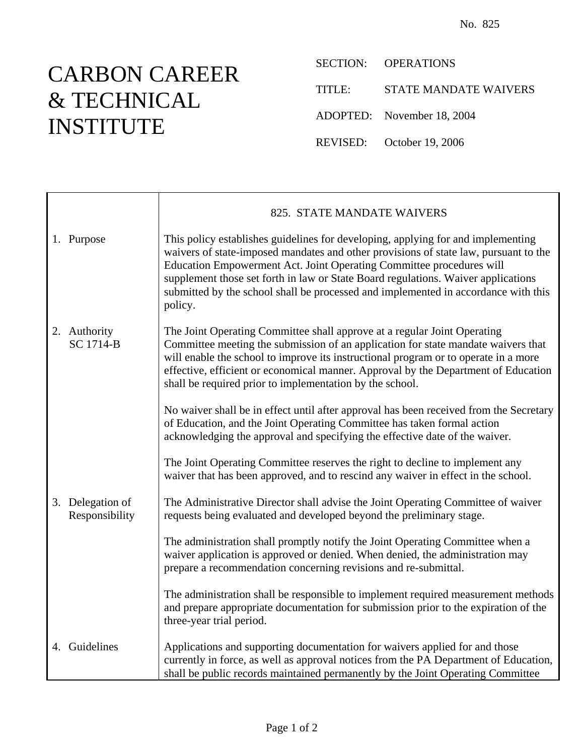## CARBON CAREER & TECHNICAL INSTITUTE

SECTION: OPERATIONS

TITLE: STATE MANDATE WAIVERS

ADOPTED: November 18, 2004

REVISED: October 19, 2006

|                                    | 825. STATE MANDATE WAIVERS                                                                                                                                                                                                                                                                                                                                                                                                             |
|------------------------------------|----------------------------------------------------------------------------------------------------------------------------------------------------------------------------------------------------------------------------------------------------------------------------------------------------------------------------------------------------------------------------------------------------------------------------------------|
| 1. Purpose                         | This policy establishes guidelines for developing, applying for and implementing<br>waivers of state-imposed mandates and other provisions of state law, pursuant to the<br>Education Empowerment Act. Joint Operating Committee procedures will<br>supplement those set forth in law or State Board regulations. Waiver applications<br>submitted by the school shall be processed and implemented in accordance with this<br>policy. |
| 2. Authority<br>SC 1714-B          | The Joint Operating Committee shall approve at a regular Joint Operating<br>Committee meeting the submission of an application for state mandate waivers that<br>will enable the school to improve its instructional program or to operate in a more<br>effective, efficient or economical manner. Approval by the Department of Education<br>shall be required prior to implementation by the school.                                 |
|                                    | No waiver shall be in effect until after approval has been received from the Secretary<br>of Education, and the Joint Operating Committee has taken formal action<br>acknowledging the approval and specifying the effective date of the waiver.                                                                                                                                                                                       |
|                                    | The Joint Operating Committee reserves the right to decline to implement any<br>waiver that has been approved, and to rescind any waiver in effect in the school.                                                                                                                                                                                                                                                                      |
| 3. Delegation of<br>Responsibility | The Administrative Director shall advise the Joint Operating Committee of waiver<br>requests being evaluated and developed beyond the preliminary stage.                                                                                                                                                                                                                                                                               |
|                                    | The administration shall promptly notify the Joint Operating Committee when a<br>waiver application is approved or denied. When denied, the administration may<br>prepare a recommendation concerning revisions and re-submittal.                                                                                                                                                                                                      |
|                                    | The administration shall be responsible to implement required measurement methods<br>and prepare appropriate documentation for submission prior to the expiration of the<br>three-year trial period.                                                                                                                                                                                                                                   |
| 4. Guidelines                      | Applications and supporting documentation for waivers applied for and those<br>currently in force, as well as approval notices from the PA Department of Education,<br>shall be public records maintained permanently by the Joint Operating Committee                                                                                                                                                                                 |